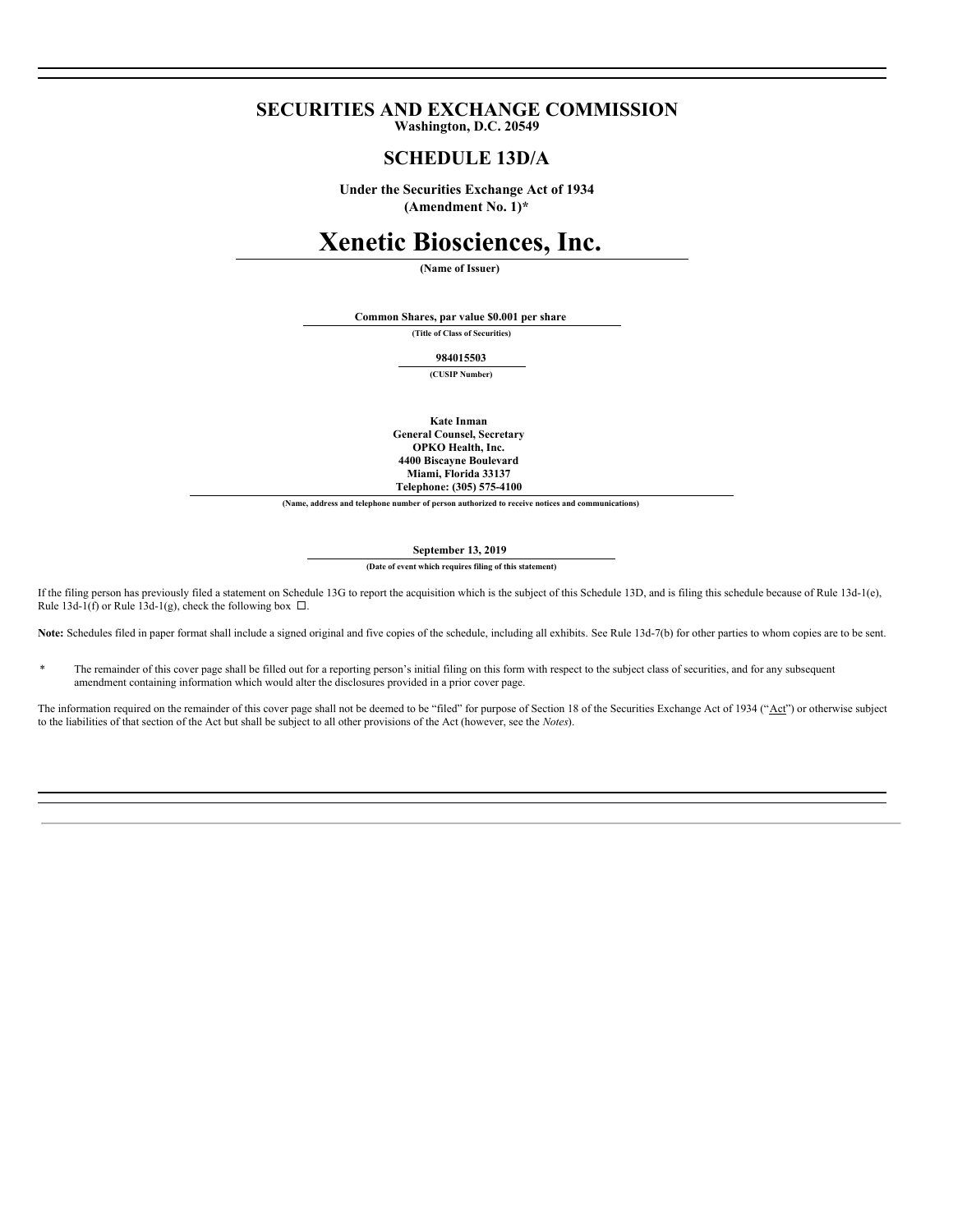# **SECURITIES AND EXCHANGE COMMISSION Washington, D.C. 20549**

# **SCHEDULE 13D/A**

**Under the Securities Exchange Act of 1934 (Amendment No. 1)\***

# **Xenetic Biosciences, Inc.**

**(Name of Issuer)**

**Common Shares, par value \$0.001 per share**

**(Title of Class of Securities)**

**984015503**

**(CUSIP Number)**

**Kate Inman General Counsel, Secretary OPKO Health, Inc. 4400 Biscayne Boulevard Miami, Florida 33137 Telephone: (305) 575-4100**

**(Name, address and telephone number of person authorized to receive notices and communications)**

**September 13, 2019**

**(Date of event which requires filing of this statement)**

If the filing person has previously filed a statement on Schedule 13G to report the acquisition which is the subject of this Schedule 13D, and is filing this schedule because of Rule 13d-1(e), Rule 13d-1(f) or Rule 13d-1(g), check the following box  $\Box$ .

**Note:** Schedules filed in paper format shall include a signed original and five copies of the schedule, including all exhibits. See Rule 13d-7(b) for other parties to whom copies are to be sent.

\* The remainder of this cover page shall be filled out for a reporting person's initial filing on this form with respect to the subject class of securities, and for any subsequent amendment containing information which would alter the disclosures provided in a prior cover page.

The information required on the remainder of this cover page shall not be deemed to be "filed" for purpose of Section 18 of the Securities Exchange Act of 1934 ("Act") or otherwise subject to the liabilities of that section of the Act but shall be subject to all other provisions of the Act (however, see the *Notes*).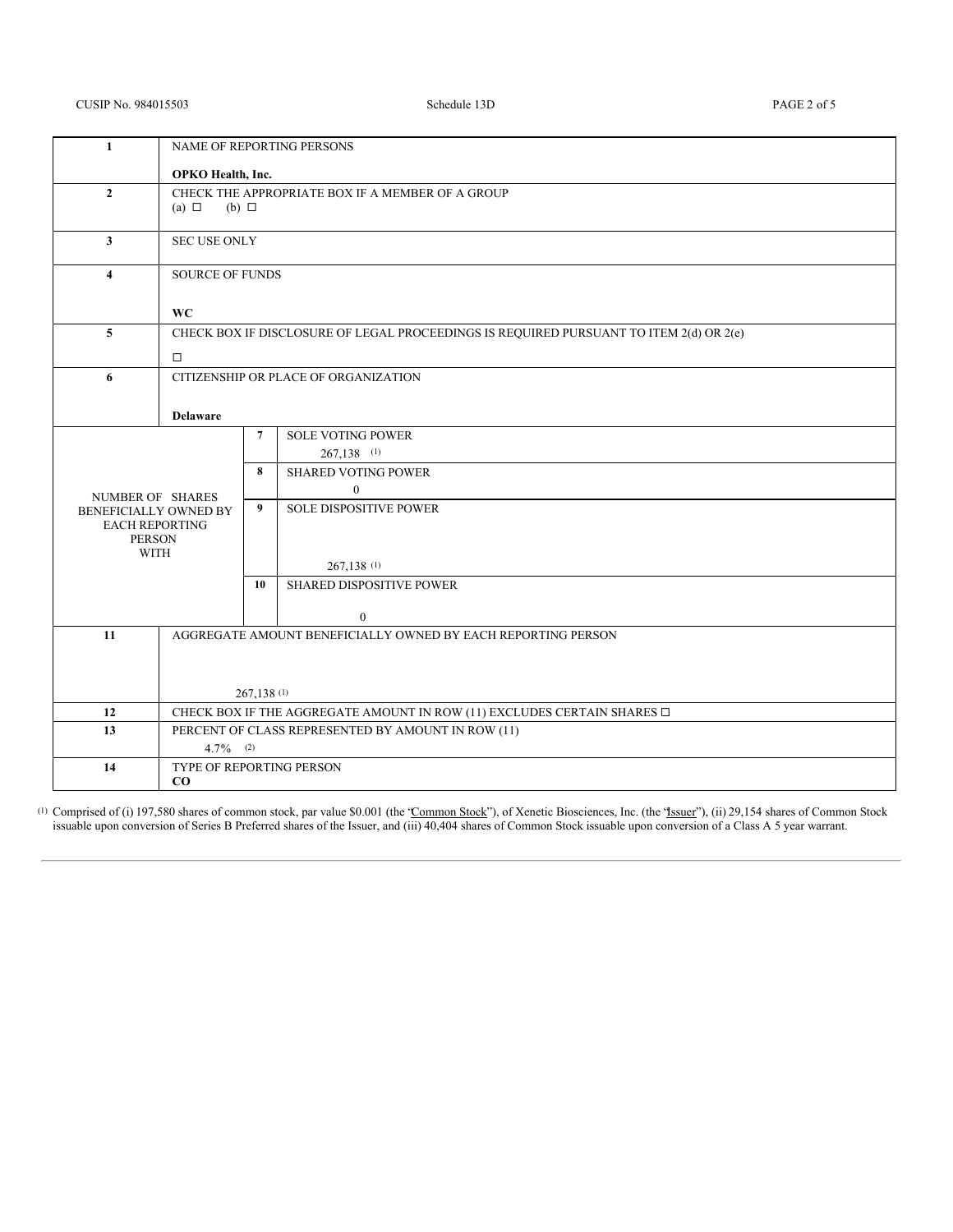# CUSIP No. 984015503 Schedule 13D PAGE 2 of 5

| 1                                              | NAME OF REPORTING PERSONS                                                              |                 |                                              |  |
|------------------------------------------------|----------------------------------------------------------------------------------------|-----------------|----------------------------------------------|--|
|                                                | OPKO Health, Inc.                                                                      |                 |                                              |  |
| $\mathbf{2}$                                   | CHECK THE APPROPRIATE BOX IF A MEMBER OF A GROUP                                       |                 |                                              |  |
|                                                | $(a) \Box$<br>$(b)$ $\square$                                                          |                 |                                              |  |
| 3                                              | <b>SEC USE ONLY</b>                                                                    |                 |                                              |  |
|                                                |                                                                                        |                 |                                              |  |
| $\overline{4}$                                 | <b>SOURCE OF FUNDS</b>                                                                 |                 |                                              |  |
|                                                | <b>WC</b>                                                                              |                 |                                              |  |
| $\overline{5}$                                 | CHECK BOX IF DISCLOSURE OF LEGAL PROCEEDINGS IS REQUIRED PURSUANT TO ITEM 2(d) OR 2(e) |                 |                                              |  |
|                                                |                                                                                        |                 |                                              |  |
|                                                | $\Box$                                                                                 |                 |                                              |  |
| 6                                              | CITIZENSHIP OR PLACE OF ORGANIZATION                                                   |                 |                                              |  |
|                                                |                                                                                        |                 |                                              |  |
|                                                | <b>Delaware</b>                                                                        |                 |                                              |  |
|                                                |                                                                                        | $7\phantom{.0}$ | <b>SOLE VOTING POWER</b>                     |  |
|                                                |                                                                                        |                 | $267,138$ (1)                                |  |
|                                                |                                                                                        | 8               | <b>SHARED VOTING POWER</b><br>$\overline{0}$ |  |
| NUMBER OF SHARES                               |                                                                                        | 9               | <b>SOLE DISPOSITIVE POWER</b>                |  |
| BENEFICIALLY OWNED BY<br><b>EACH REPORTING</b> |                                                                                        |                 |                                              |  |
| <b>PERSON</b>                                  |                                                                                        |                 |                                              |  |
| <b>WITH</b>                                    |                                                                                        |                 |                                              |  |
|                                                |                                                                                        |                 | 267,138 (1)                                  |  |
|                                                |                                                                                        | 10              | SHARED DISPOSITIVE POWER                     |  |
|                                                |                                                                                        |                 | $\boldsymbol{0}$                             |  |
| 11                                             | AGGREGATE AMOUNT BENEFICIALLY OWNED BY EACH REPORTING PERSON                           |                 |                                              |  |
|                                                |                                                                                        |                 |                                              |  |
|                                                |                                                                                        |                 |                                              |  |
|                                                | 267,138(1)                                                                             |                 |                                              |  |
| 12                                             | CHECK BOX IF THE AGGREGATE AMOUNT IN ROW (11) EXCLUDES CERTAIN SHARES $\Box$           |                 |                                              |  |
| 13                                             | PERCENT OF CLASS REPRESENTED BY AMOUNT IN ROW (11)                                     |                 |                                              |  |
|                                                | $4.7\%$ (2)                                                                            |                 |                                              |  |
| 14                                             | TYPE OF REPORTING PERSON                                                               |                 |                                              |  |
|                                                | $\bf{CO}$                                                                              |                 |                                              |  |

<sup>(1)</sup> Comprised of (i) 197,580 shares of common stock, par value \$0.001 (the "Common Stock"), of Xenetic Biosciences, Inc. (the "Issuer"), (ii) 29,154 shares of Common Stock issuable upon conversion of Series B Preferred shares of the Issuer, and (iii) 40,404 shares of Common Stock issuable upon conversion of a Class A 5 year warrant.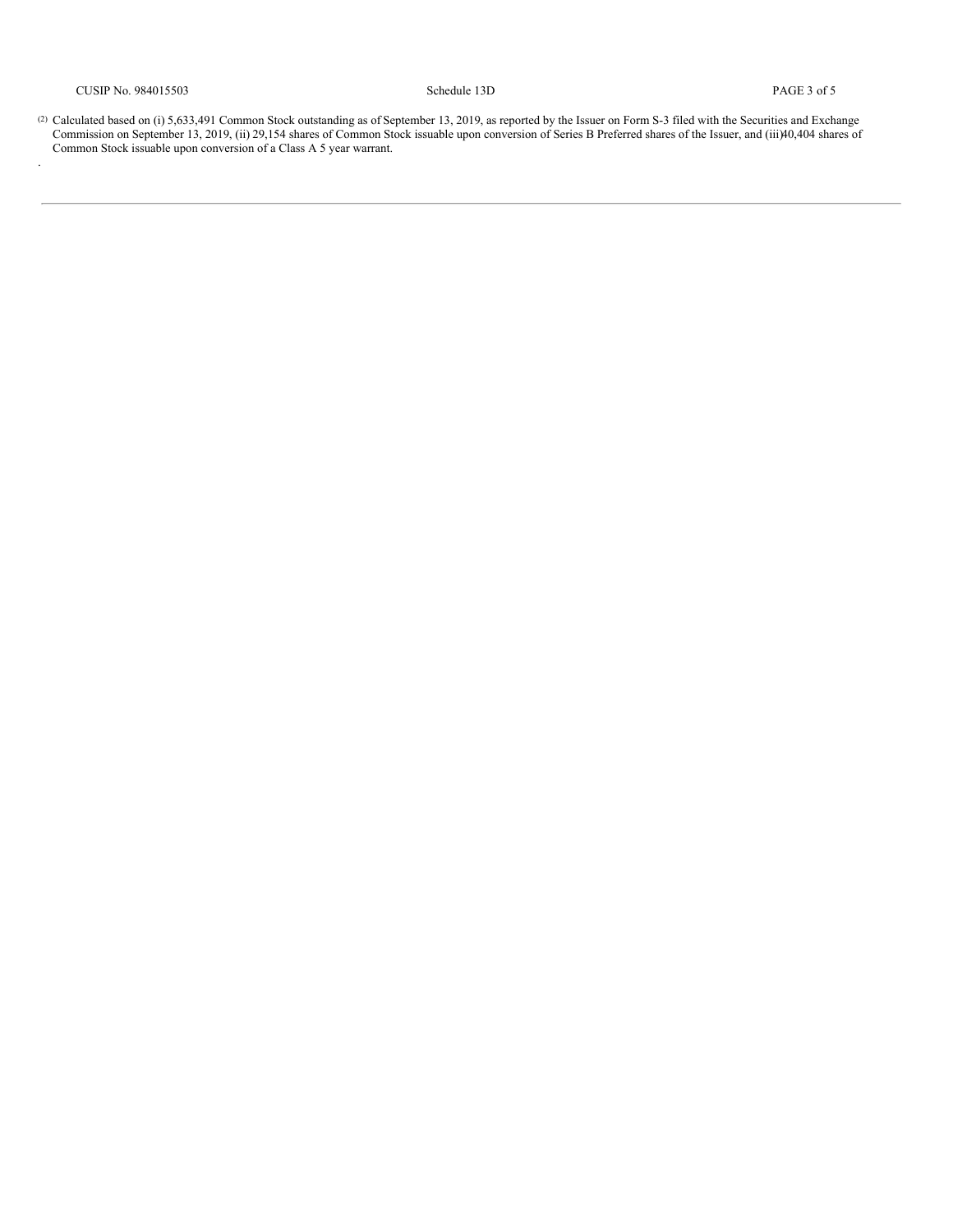.

(2) Calculated based on (i)  $5,633,491$  Common Stock outstanding as of September 13, 2019, as reported by the Issuer on Form S-3 filed with the Securities and Exchange Commission on September 13, 2019, (ii) 29,154 shares of Common Stock issuable upon conversion of Series B Preferred shares of the Issuer, and (iii)40,404 shares of Common Stock issuable upon conversion of a Class A 5 year warrant.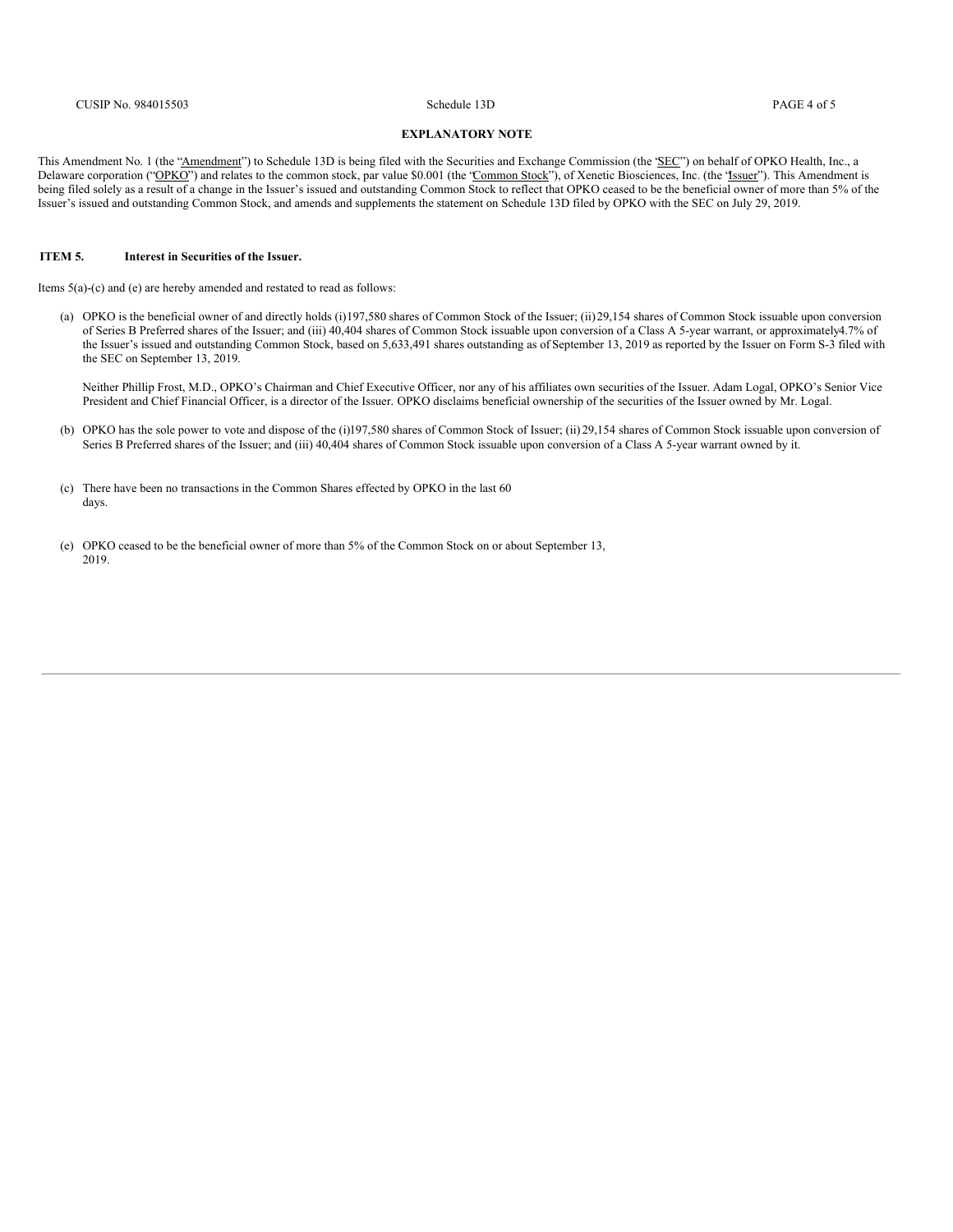#### **EXPLANATORY NOTE**

This Amendment No. 1 (the "Amendment") to Schedule 13D is being filed with the Securities and Exchange Commission (the 'SEC") on behalf of OPKO Health, Inc., a Delaware corporation ("OPKO") and relates to the common stock, par value \$0.001 (the "Common Stock"), of Xenetic Biosciences, Inc. (the "Issuer"). This Amendment is being filed solely as a result of a change in the Issuer's issued and outstanding Common Stock to reflect that OPKO ceased to be the beneficial owner of more than 5% of the Issuer's issued and outstanding Common Stock, and amends and supplements the statement on Schedule 13D filed by OPKO with the SEC on July 29, 2019.

## **ITEM 5. Interest in Securities of the Issuer.**

Items 5(a)-(c) and (e) are hereby amended and restated to read as follows:

(a) OPKO is the beneficial owner of and directly holds (i)197,580 shares of Common Stock of the Issuer; (ii)29,154 shares of Common Stock issuable upon conversion of Series B Preferred shares of the Issuer; and (iii) 40,404 shares of Common Stock issuable upon conversion of a Class A 5-year warrant, or approximately4.7% of the Issuer's issued and outstanding Common Stock, based on 5,633,491 shares outstanding as of September 13, 2019 as reported by the Issuer on Form S-3 filed with the SEC on September 13, 2019.

Neither Phillip Frost, M.D., OPKO's Chairman and Chief Executive Officer, nor any of his affiliates own securities of the Issuer. Adam Logal, OPKO's Senior Vice President and Chief Financial Officer, is a director of the Issuer. OPKO disclaims beneficial ownership of the securities of the Issuer owned by Mr. Logal.

- (b) OPKO has the sole power to vote and dispose of the (i)197,580 shares of Common Stock of Issuer; (ii) 29,154 shares of Common Stock issuable upon conversion of Series B Preferred shares of the Issuer; and (iii) 40,404 shares of Common Stock issuable upon conversion of a Class A 5-year warrant owned by it.
- (c) There have been no transactions in the Common Shares effected by OPKO in the last 60 days.
- (e) OPKO ceased to be the beneficial owner of more than 5% of the Common Stock on or about September 13, 2019.